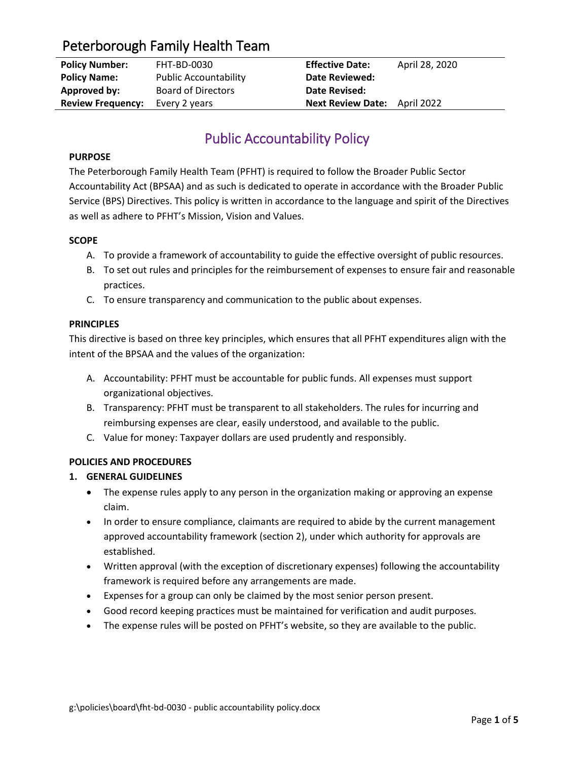| <b>Policy Number:</b>    | FHT-BD-0030                  | <b>Effective Date:</b>              | April 28, 2020 |
|--------------------------|------------------------------|-------------------------------------|----------------|
| <b>Policy Name:</b>      | <b>Public Accountability</b> | <b>Date Reviewed:</b>               |                |
| Approved by:             | <b>Board of Directors</b>    | Date Revised:                       |                |
| <b>Review Frequency:</b> | Every 2 years                | <b>Next Review Date:</b> April 2022 |                |

# Public Accountability Policy

## **PURPOSE**

The Peterborough Family Health Team (PFHT) is required to follow the Broader Public Sector Accountability Act (BPSAA) and as such is dedicated to operate in accordance with the Broader Public Service (BPS) Directives. This policy is written in accordance to the language and spirit of the Directives as well as adhere to PFHT's Mission, Vision and Values.

## **SCOPE**

- A. To provide a framework of accountability to guide the effective oversight of public resources.
- B. To set out rules and principles for the reimbursement of expenses to ensure fair and reasonable practices.
- C. To ensure transparency and communication to the public about expenses.

## **PRINCIPLES**

This directive is based on three key principles, which ensures that all PFHT expenditures align with the intent of the BPSAA and the values of the organization:

- A. Accountability: PFHT must be accountable for public funds. All expenses must support organizational objectives.
- B. Transparency: PFHT must be transparent to all stakeholders. The rules for incurring and reimbursing expenses are clear, easily understood, and available to the public.
- C. Value for money: Taxpayer dollars are used prudently and responsibly.

## **POLICIES AND PROCEDURES**

## **1. GENERAL GUIDELINES**

- The expense rules apply to any person in the organization making or approving an expense claim.
- In order to ensure compliance, claimants are required to abide by the current management approved accountability framework (section 2), under which authority for approvals are established.
- Written approval (with the exception of discretionary expenses) following the accountability framework is required before any arrangements are made.
- Expenses for a group can only be claimed by the most senior person present.
- Good record keeping practices must be maintained for verification and audit purposes.
- The expense rules will be posted on PFHT's website, so they are available to the public.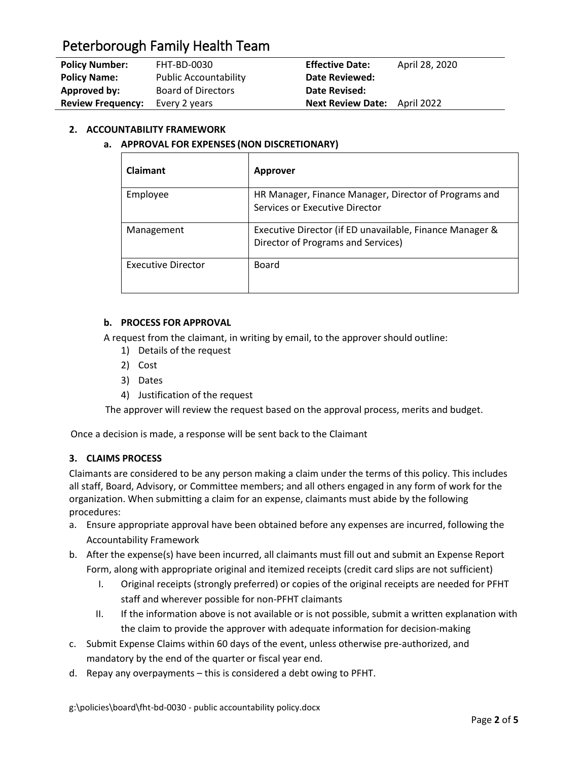| <b>Policy Number:</b>    | FHT-BD-0030                  | <b>Effective Date:</b>              | April 28, 2020 |
|--------------------------|------------------------------|-------------------------------------|----------------|
| <b>Policy Name:</b>      | <b>Public Accountability</b> | <b>Date Reviewed:</b>               |                |
| Approved by:             | <b>Board of Directors</b>    | Date Revised:                       |                |
| <b>Review Frequency:</b> | Every 2 years                | <b>Next Review Date:</b> April 2022 |                |

## **2. ACCOUNTABILITY FRAMEWORK**

## **a. APPROVAL FOR EXPENSES (NON DISCRETIONARY)**

| <b>Claimant</b>           | Approver                                                                                       |
|---------------------------|------------------------------------------------------------------------------------------------|
| Employee                  | HR Manager, Finance Manager, Director of Programs and<br>Services or Executive Director        |
| Management                | Executive Director (if ED unavailable, Finance Manager &<br>Director of Programs and Services) |
| <b>Executive Director</b> | Board                                                                                          |

## **b. PROCESS FOR APPROVAL**

A request from the claimant, in writing by email, to the approver should outline:

- 1) Details of the request
- 2) Cost
- 3) Dates
- 4) Justification of the request

The approver will review the request based on the approval process, merits and budget.

Once a decision is made, a response will be sent back to the Claimant

## **3. CLAIMS PROCESS**

Claimants are considered to be any person making a claim under the terms of this policy. This includes all staff, Board, Advisory, or Committee members; and all others engaged in any form of work for the organization. When submitting a claim for an expense, claimants must abide by the following procedures:

- a. Ensure appropriate approval have been obtained before any expenses are incurred, following the Accountability Framework
- b. After the expense(s) have been incurred, all claimants must fill out and submit an Expense Report Form, along with appropriate original and itemized receipts (credit card slips are not sufficient)
	- I. Original receipts (strongly preferred) or copies of the original receipts are needed for PFHT staff and wherever possible for non-PFHT claimants
	- II. If the information above is not available or is not possible, submit a written explanation with the claim to provide the approver with adequate information for decision-making
- c. Submit Expense Claims within 60 days of the event, unless otherwise pre-authorized, and mandatory by the end of the quarter or fiscal year end.
- d. Repay any overpayments this is considered a debt owing to PFHT.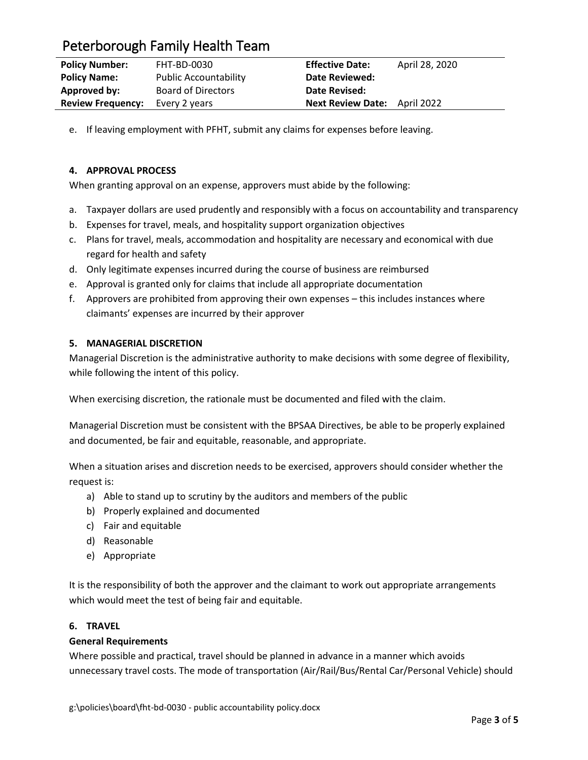| <b>Policy Number:</b>    | FHT-BD-0030                  | <b>Effective Date:</b>              | April 28, 2020 |
|--------------------------|------------------------------|-------------------------------------|----------------|
| <b>Policy Name:</b>      | <b>Public Accountability</b> | <b>Date Reviewed:</b>               |                |
| Approved by:             | <b>Board of Directors</b>    | Date Revised:                       |                |
| <b>Review Frequency:</b> | Every 2 years                | <b>Next Review Date:</b> April 2022 |                |

e. If leaving employment with PFHT, submit any claims for expenses before leaving.

## **4. APPROVAL PROCESS**

When granting approval on an expense, approvers must abide by the following:

- a. Taxpayer dollars are used prudently and responsibly with a focus on accountability and transparency
- b. Expenses for travel, meals, and hospitality support organization objectives
- c. Plans for travel, meals, accommodation and hospitality are necessary and economical with due regard for health and safety
- d. Only legitimate expenses incurred during the course of business are reimbursed
- e. Approval is granted only for claims that include all appropriate documentation
- f. Approvers are prohibited from approving their own expenses this includes instances where claimants' expenses are incurred by their approver

## **5. MANAGERIAL DISCRETION**

Managerial Discretion is the administrative authority to make decisions with some degree of flexibility, while following the intent of this policy.

When exercising discretion, the rationale must be documented and filed with the claim.

Managerial Discretion must be consistent with the BPSAA Directives, be able to be properly explained and documented, be fair and equitable, reasonable, and appropriate.

When a situation arises and discretion needs to be exercised, approvers should consider whether the request is:

- a) Able to stand up to scrutiny by the auditors and members of the public
- b) Properly explained and documented
- c) Fair and equitable
- d) Reasonable
- e) Appropriate

It is the responsibility of both the approver and the claimant to work out appropriate arrangements which would meet the test of being fair and equitable.

## **6. TRAVEL**

## **General Requirements**

Where possible and practical, travel should be planned in advance in a manner which avoids unnecessary travel costs. The mode of transportation (Air/Rail/Bus/Rental Car/Personal Vehicle) should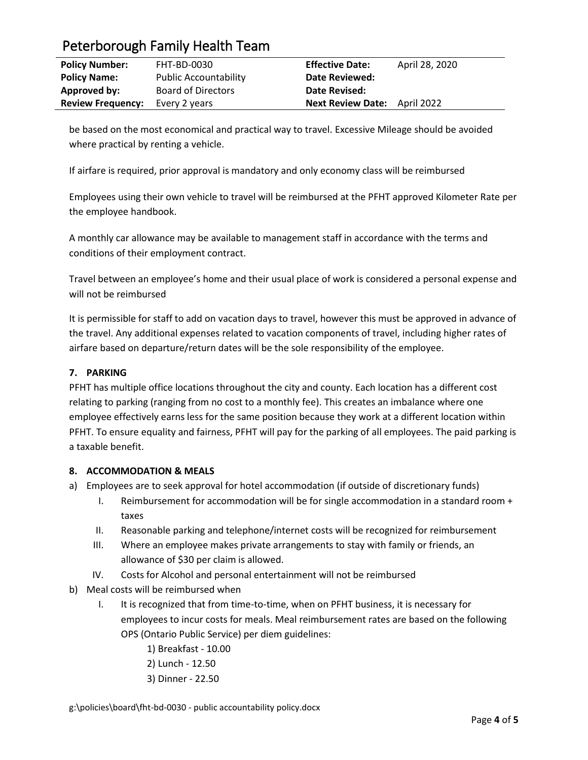| <b>Policy Number:</b>    | FHT-BD-0030                  | <b>Effective Date:</b>              | April 28, 2020 |
|--------------------------|------------------------------|-------------------------------------|----------------|
| <b>Policy Name:</b>      | <b>Public Accountability</b> | <b>Date Reviewed:</b>               |                |
| Approved by:             | <b>Board of Directors</b>    | <b>Date Revised:</b>                |                |
| <b>Review Frequency:</b> | Every 2 years                | <b>Next Review Date:</b> April 2022 |                |

be based on the most economical and practical way to travel. Excessive Mileage should be avoided where practical by renting a vehicle.

If airfare is required, prior approval is mandatory and only economy class will be reimbursed

Employees using their own vehicle to travel will be reimbursed at the PFHT approved Kilometer Rate per the employee handbook.

A monthly car allowance may be available to management staff in accordance with the terms and conditions of their employment contract.

Travel between an employee's home and their usual place of work is considered a personal expense and will not be reimbursed

It is permissible for staff to add on vacation days to travel, however this must be approved in advance of the travel. Any additional expenses related to vacation components of travel, including higher rates of airfare based on departure/return dates will be the sole responsibility of the employee.

## **7. PARKING**

PFHT has multiple office locations throughout the city and county. Each location has a different cost relating to parking (ranging from no cost to a monthly fee). This creates an imbalance where one employee effectively earns less for the same position because they work at a different location within PFHT. To ensure equality and fairness, PFHT will pay for the parking of all employees. The paid parking is a taxable benefit.

## **8. ACCOMMODATION & MEALS**

- a) Employees are to seek approval for hotel accommodation (if outside of discretionary funds)
	- I. Reimbursement for accommodation will be for single accommodation in a standard room + taxes
	- II. Reasonable parking and telephone/internet costs will be recognized for reimbursement
	- III. Where an employee makes private arrangements to stay with family or friends, an allowance of \$30 per claim is allowed.
	- IV. Costs for Alcohol and personal entertainment will not be reimbursed
- b) Meal costs will be reimbursed when
	- I. It is recognized that from time-to-time, when on PFHT business, it is necessary for employees to incur costs for meals. Meal reimbursement rates are based on the following OPS (Ontario Public Service) per diem guidelines:
		- 1) Breakfast 10.00
		- 2) Lunch 12.50
		- 3) Dinner 22.50